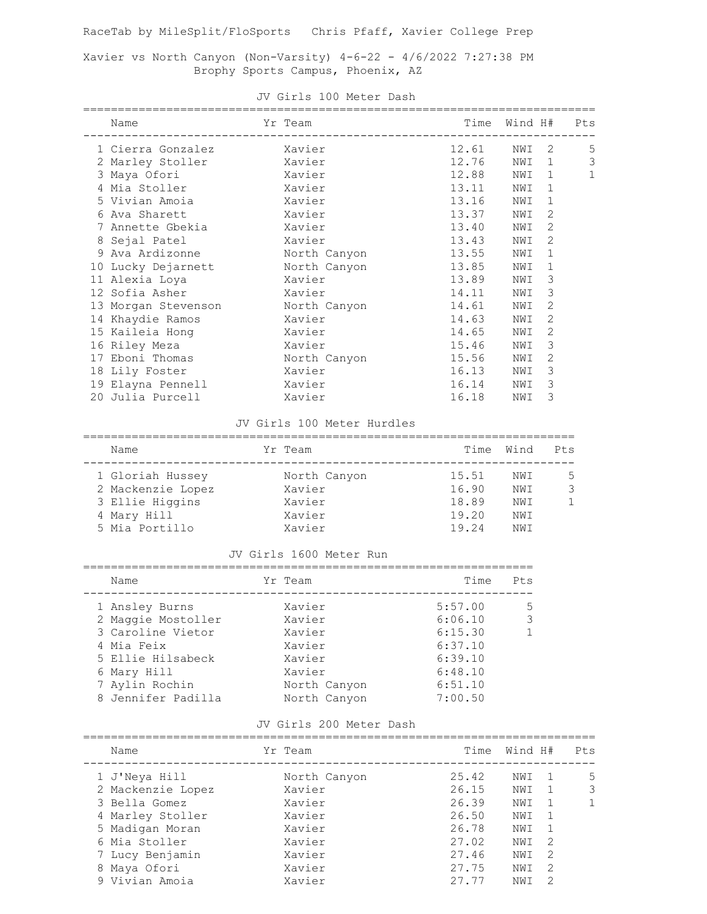RaceTab by MileSplit/FloSports Chris Pfaff, Xavier College Prep

Xavier vs North Canyon (Non-Varsity) 4-6-22 - 4/6/2022 7:27:38 PM Brophy Sports Campus, Phoenix, AZ

| Name                             | Yr Team      | Time Wind H# |       |                | Pts          |
|----------------------------------|--------------|--------------|-------|----------------|--------------|
| 1 Cierra Gonzalez Xavier         |              | 12.61        | NWI 2 |                | 5            |
| 2 Marley Stoller Xavier          |              | 12.76        | NWI   | $\mathbf{1}$   | 3            |
| 3 Maya Ofori                     | Xavier       | 12.88        | NWI   | $\overline{1}$ | $\mathbf{1}$ |
| 4 Mia Stoller Xavier             |              | 13.11        | NWI   | 1              |              |
| 5 Vivian Amoia                   | Xavier       | 13.16        | NWI   | $\mathbf{1}$   |              |
| 6 Ava Sharett                    | Xavier       | 13.37        | NWI   | 2              |              |
| 7 Annette Gbekia                 | Xavier       | 13.40        | NWI   | 2              |              |
| 8 Sejal Patel                    | Xavier       | 13.43        | NWI   | 2              |              |
| 9 Ava Ardizonne                  | North Canyon | 13.55        | NWI   | 1              |              |
| 10 Lucky Dejarnett               | North Canyon | 13.85        | NWI   | $\mathbf{1}$   |              |
| 11 Alexia Loya                   | Xavier       | 13.89        | NWI   | 3              |              |
| 12 Sofia Asher Xavier            |              | 14.11        | NWI   | 3              |              |
| 13 Morgan Stevenson North Canyon |              | 14.61        | NWI   | 2              |              |
| 14 Khaydie Ramos                 | Xavier       | 14.63        | NWI   | 2              |              |
|                                  |              | 14.65        | NWI   | 2              |              |
| 16 Riley Meza                    | Xavier       | 15.46        | NWI   | 3              |              |
| 17 Eboni Thomas                  | North Canyon | 15.56        | NWI   | 2              |              |
| 18 Lily Foster                   | Xavier       | 16.13        | NWI   | 3              |              |
| 19 Elayna Pennell                | Xavier       | 16.14        | NWI   | 3              |              |
| 20 Julia Purcell                 | Xavier       | 16.18        | NWI   | 3              |              |

#### JV Girls 100 Meter Dash

#### JV Girls 100 Meter Hurdles

| Name              | Yr Team      | Time  | Wind | Pts           |
|-------------------|--------------|-------|------|---------------|
| 1 Gloriah Hussey  | North Canyon | 15.51 | NWI  | .5.           |
| 2 Mackenzie Lopez | Xavier       | 16.90 | NWI  | $\mathcal{S}$ |
| 3 Ellie Higgins   | Xavier       | 18.89 | NW T |               |
| 4 Mary Hill       | Xavier       | 19.20 | NWI  |               |
| 5 Mia Portillo    | Xavier       | 19.24 | NM T |               |

### JV Girls 1600 Meter Run

| Name               | Yr Team      | Time    | Pts |
|--------------------|--------------|---------|-----|
| 1 Ansley Burns     | Xavier       | 5:57.00 | 5   |
| 2 Maggie Mostoller | Xavier       | 6:06.10 | 3   |
| 3 Caroline Vietor  | Xavier       | 6:15.30 | 1.  |
| 4 Mia Feix         | Xavier       | 6:37.10 |     |
| 5 Ellie Hilsabeck  | Xavier       | 6:39.10 |     |
| 6 Mary Hill        | Xavier       | 6:48.10 |     |
| 7 Aylin Rochin     | North Canyon | 6:51.10 |     |
| 8 Jennifer Padilla | North Canyon | 7:00.50 |     |

### JV Girls 200 Meter Dash

| Name              | Yr Team      | Time  | Wind H# |               | Pts |
|-------------------|--------------|-------|---------|---------------|-----|
| 1 J'Neya Hill     | North Canyon | 25.42 | NW T    |               | 5   |
| 2 Mackenzie Lopez | Xavier       | 26.15 | NWI     |               | 3   |
| 3 Bella Gomez     | Xavier       | 26.39 | NWI     |               | 1.  |
| 4 Marley Stoller  | Xavier       | 26.50 | NWI     |               |     |
| 5 Madigan Moran   | Xavier       | 26.78 | NWI     |               |     |
| 6 Mia Stoller     | Xavier       | 27.02 | NWI     | 2             |     |
| 7 Lucy Benjamin   | Xavier       | 27.46 | NWI     | 2             |     |
| 8 Maya Ofori      | Xavier       | 27.75 | NWI     | 2             |     |
| 9 Vivian Amoia    | Xavier       | 27 77 | NWI     | $\mathcal{L}$ |     |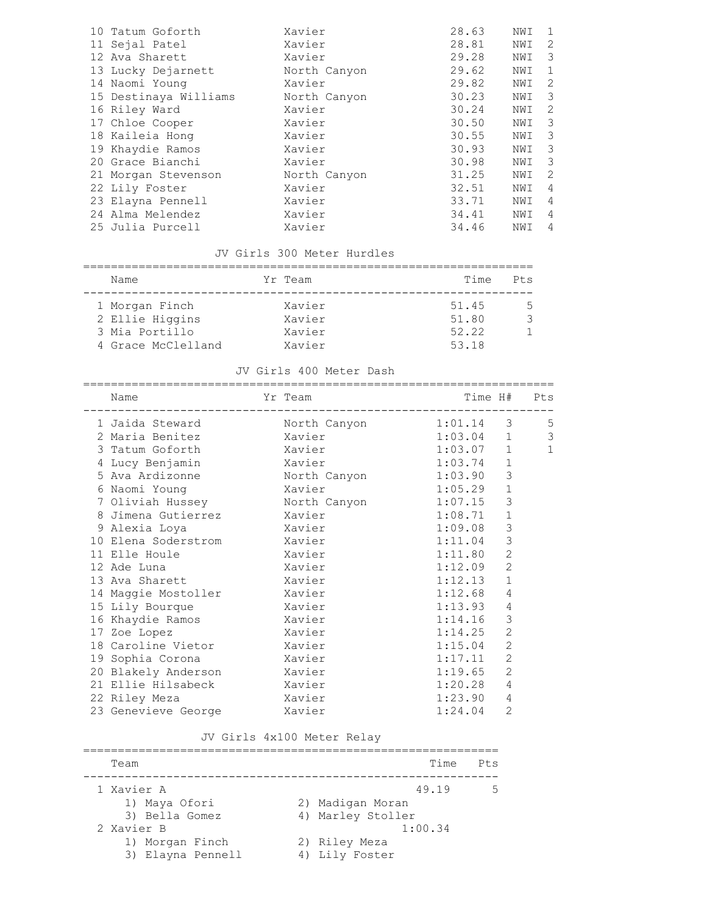| 10 Tatum Goforth      | Xavier       | 28.63 | NWI | 1 |
|-----------------------|--------------|-------|-----|---|
| 11 Sejal Patel        | Xavier       | 28.81 | NWI | 2 |
| 12 Ava Sharett        | Xavier       | 29.28 | NWI | 3 |
| 13 Lucky Dejarnett    | North Canyon | 29.62 | NWI | 1 |
| 14 Naomi Young        | Xavier       | 29.82 | NWI | 2 |
| 15 Destinaya Williams | North Canyon | 30.23 | NWI | 3 |
| 16 Riley Ward         | Xavier       | 30.24 | NWI | 2 |
| 17 Chloe Cooper       | Xavier       | 30.50 | NWI | 3 |
| 18 Kaileia Hong       | Xavier       | 30.55 | NWI | 3 |
| 19 Khaydie Ramos      | Xavier       | 30.93 | NWI | 3 |
| 20 Grace Bianchi      | Xavier       | 30.98 | NWI | 3 |
| 21 Morgan Stevenson   | North Canyon | 31.25 | NWI | 2 |
| 22 Lily Foster        | Xavier       | 32.51 | NWI | 4 |
| 23 Elayna Pennell     | Xavier       | 33.71 | NWI | 4 |
| 24 Alma Melendez      | Xavier       | 34.41 | NWI | 4 |
| 25 Julia Purcell      | Xavier       | 34.46 | NWI | 4 |

# JV Girls 300 Meter Hurdles

| Name               | Yr Team | Time  | Pts |
|--------------------|---------|-------|-----|
| 1 Morgan Finch     | Xavier  | 51.45 | 5.  |
| 2 Ellie Higgins    | Xavier  | 51.80 |     |
| 3 Mia Portillo     | Xavier  | 52.22 |     |
| 4 Grace McClelland | Xavier  | 53.18 |     |

### JV Girls 400 Meter Dash

|                            | ====================== |         |                |              |
|----------------------------|------------------------|---------|----------------|--------------|
| Name                       | Yr Team                | Time H# |                | Pts          |
| 1 Jaida Steward            | North Canyon           | 1:01.14 | $\mathcal{S}$  | 5            |
| 2 Maria Benitez            | Xavier                 | 1:03.04 | $\mathbf{1}$   | 3            |
| 3 Tatum Goforth            | Xavier                 | 1:03.07 | $\mathbf{1}$   | $\mathbf{1}$ |
| 4 Lucy Benjamin            | Xavier                 | 1:03.74 | $\mathbf{1}$   |              |
| 5 Ava Ardizonne            | North Canyon           | 1:03.90 | 3              |              |
| 6 Naomi Young              | Xavier                 | 1:05.29 | $\mathbf{1}$   |              |
| 7 Oliviah Hussey           | North Canyon           | 1:07.15 | 3              |              |
| 8 Jimena Gutierrez         | Xavier                 | 1:08.71 | $\mathbf{1}$   |              |
| 9 Alexia Loya              | Xavier                 | 1:09.08 | $\mathfrak{Z}$ |              |
| 10 Elena Soderstrom        | Xavier                 | 1:11.04 | $\mathfrak{Z}$ |              |
| 11 Elle Houle Land Control | Xavier                 | 1:11.80 | $\overline{c}$ |              |
| 12 Ade Luna                | Xavier                 | 1:12.09 | $\overline{c}$ |              |
| 13 Ava Sharett             | Xavier                 | 1:12.13 | $\mathbf{1}$   |              |
| 14 Maggie Mostoller        | Xavier                 | 1:12.68 | 4              |              |
| 15 Lily Bourque            | Xavier                 | 1:13.93 | 4              |              |
| 16 Khaydie Ramos           | Xavier                 | 1:14.16 | 3              |              |
| 17 Zoe Lopez               | Xavier                 | 1:14.25 | $\overline{c}$ |              |
| 18 Caroline Vietor         | Xavier                 | 1:15.04 | $\overline{2}$ |              |
| 19 Sophia Corona           | Xavier                 | 1:17.11 | $\overline{2}$ |              |
| 20 Blakely Anderson        | Xavier                 | 1:19.65 | $\overline{2}$ |              |
| 21 Ellie Hilsabeck         | Xavier                 | 1:20.28 | 4              |              |
| 22 Riley Meza              | Xavier                 | 1:23.90 | 4              |              |
| 23 Genevieve George        | Xavier                 | 1:24.04 | $\overline{2}$ |              |
|                            |                        |         |                |              |

## JV Girls 4x100 Meter Relay

| Team              | Time<br>$P$ <sup>t.s</sup> |
|-------------------|----------------------------|
| 1 Xavier A        | 49.19                      |
| 1) Maya Ofori     | 2) Madigan Moran           |
| 3) Bella Gomez    | 4) Marley Stoller          |
| 2 Xavier B        | 1:00.34                    |
| 1) Morgan Finch   | 2) Riley Meza              |
| 3) Elayna Pennell | 4) Lily Foster             |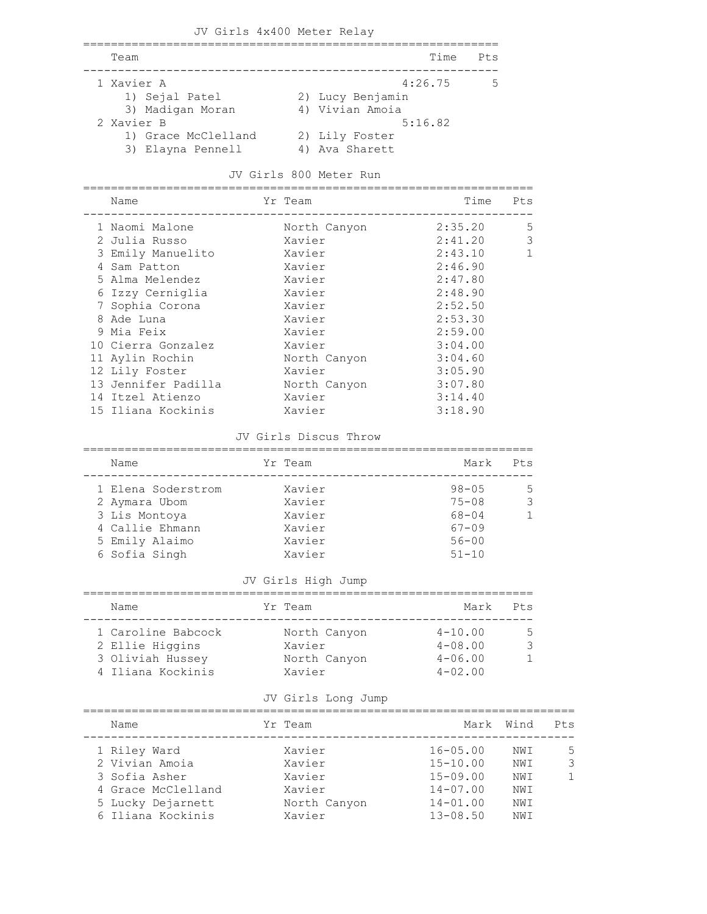|            | JV Girls 4x400 Meter Relay               |                                     |         |                 |
|------------|------------------------------------------|-------------------------------------|---------|-----------------|
| Team       |                                          |                                     | Time    | P <sub>ts</sub> |
| 1 Xavier A | 1) Sejal Patel<br>3) Madigan Moran       | 2) Lucy Benjamin<br>4) Vivian Amoia | 4:26.75 | 5               |
| 2 Xavier B | 1) Grace McClelland<br>3) Elayna Pennell | 2) Lily Foster<br>4) Ava Sharett    | 5:16.82 |                 |

### JV Girls 800 Meter Run

=================================================================

| Name                | Yr Team      | Time    | Pts         |
|---------------------|--------------|---------|-------------|
| 1 Naomi Malone      | North Canyon | 2:35.20 | 5           |
| 2 Julia Russo       | Xavier       | 2:41.20 | 3           |
| 3 Emily Manuelito   | Xavier       | 2:43.10 | $\mathbf 1$ |
| 4 Sam Patton        | Xavier       | 2:46.90 |             |
| 5 Alma Melendez     | Xavier       | 2:47.80 |             |
| 6 Izzy Cerniglia    | Xavier       | 2:48.90 |             |
| 7 Sophia Corona     | Xavier       | 2:52.50 |             |
| 8 Ade Luna          | Xavier       | 2:53.30 |             |
| 9 Mia Feix          | Xavier       | 2:59.00 |             |
| 10 Cierra Gonzalez  | Xavier       | 3:04.00 |             |
| 11 Aylin Rochin     | North Canyon | 3:04.60 |             |
| 12 Lily Foster      | Xavier       | 3:05.90 |             |
| 13 Jennifer Padilla | North Canyon | 3:07.80 |             |
| 14 Itzel Atienzo    | Xavier       | 3:14.40 |             |
| 15 Iliana Kockinis  | Xavier       | 3:18.90 |             |

#### JV Girls Discus Throw

| Name               | Yr Team | Mark      | Pts |
|--------------------|---------|-----------|-----|
| 1 Elena Soderstrom | Xavier  | $98 - 05$ | ↳   |
| 2 Aymara Ubom      | Xavier  | $75 - 08$ |     |
| 3 Lis Montova      | Xavier  | $68 - 04$ |     |
| 4 Callie Ehmann    | Xavier  | $67 - 09$ |     |
| 5 Emily Alaimo     | Xavier  | $56 - 00$ |     |
| 6 Sofia Singh      | Xavier  | $51 - 10$ |     |

## JV Girls High Jump

| Name               |  | Yr Team      | Mark        | Pt.s                     |  |  |  |  |  |
|--------------------|--|--------------|-------------|--------------------------|--|--|--|--|--|
| 1 Caroline Babcock |  |              | $4 - 10.00$ | $\overline{\phantom{a}}$ |  |  |  |  |  |
|                    |  | North Canyon |             |                          |  |  |  |  |  |
| 2 Ellie Higgins    |  | Xavier       | $4 - 08.00$ |                          |  |  |  |  |  |
| 3 Oliviah Hussey   |  | North Canyon | $4 - 06.00$ |                          |  |  |  |  |  |
| 4 Iliana Kockinis  |  | Xavier       | $4 - 02.00$ |                          |  |  |  |  |  |

### JV Girls Long Jump

| Name               | Yr Team      |              | Mark | Wind | Pts |
|--------------------|--------------|--------------|------|------|-----|
| 1 Riley Ward       | Xavier       | $16 - 05.00$ |      | NWI  | .5  |
| 2 Vivian Amoia     | Xavier       | $15 - 10.00$ |      | NWI  | 3   |
| 3 Sofia Asher      | Xavier       | $15 - 09.00$ |      | NW T |     |
| 4 Grace McClelland | Xavier       | $14 - 07.00$ |      | NWI  |     |
| 5 Lucky Dejarnett  | North Canyon | $14 - 01.00$ |      | NWI  |     |
| 6 Iliana Kockinis  | Xavier       | $13 - 08.50$ |      | NW T |     |
|                    |              |              |      |      |     |